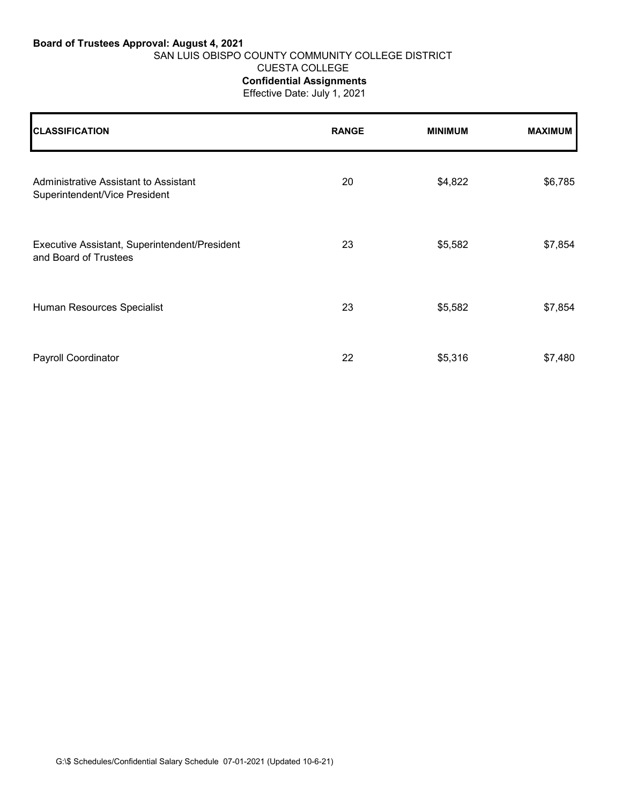## **Board of Trustees Approval: August 4, 2021** SAN LUIS OBISPO COUNTY COMMUNITY COLLEGE DISTRICT CUESTA COLLEGE

**Confidential Assignments**

Effective Date: July 1, 2021

| <b>CLASSIFICATION</b>                                                  | <b>RANGE</b> | <b>MINIMUM</b> | <b>MAXIMUM</b> |
|------------------------------------------------------------------------|--------------|----------------|----------------|
| Administrative Assistant to Assistant<br>Superintendent/Vice President | 20           | \$4,822        | \$6,785        |
| Executive Assistant, Superintendent/President<br>and Board of Trustees | 23           | \$5,582        | \$7,854        |
| Human Resources Specialist                                             | 23           | \$5,582        | \$7,854        |
| <b>Payroll Coordinator</b>                                             | 22           | \$5,316        | \$7,480        |